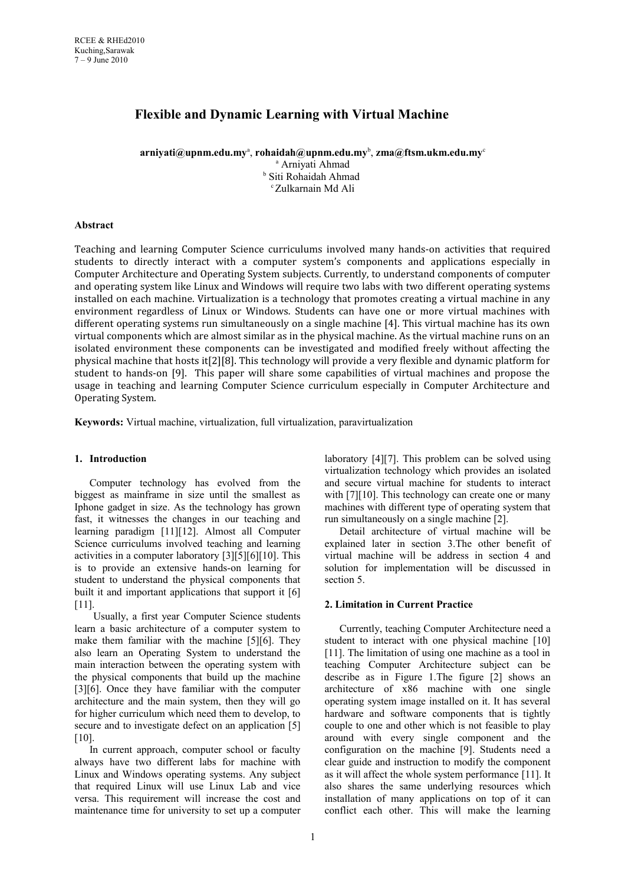# **Flexible and Dynamic Learning with Virtual Machine**

**arniyati@upnm.edu.my**<sup>a</sup> , **rohaidah@upnm.edu.my**<sup>b</sup> , **zma@ftsm.ukm.edu.my**<sup>c</sup> a Arniyati Ahmad

b Siti Rohaidah Ahmad <sup>c</sup>Zulkarnain Md Ali

# **Abstract**

Teaching and learning Computer Science curriculums involved many hands-on activities that required students to directly interact with a computer system's components and applications especially in Computer Architecture and Operating System subjects. Currently, to understand components of computer and operating system like Linux and Windows will require two labs with two different operating systems installed on each machine. Virtualization is a technology that promotes creating a virtual machine in any environment regardless of Linux or Windows. Students can have one or more virtual machines with different operating systems run simultaneously on a single machine [4]. This virtual machine has its own virtual components which are almost similar as in the physical machine. As the virtual machine runs on an isolated environment these components can be investigated and modified freely without affecting the physical machine that hosts it[2][8]. This technology will provide a very flexible and dynamic platform for student to hands-on [9]. This paper will share some capabilities of virtual machines and propose the usage in teaching and learning Computer Science curriculum especially in Computer Architecture and Operating System.

**Keywords:** Virtual machine, virtualization, full virtualization, paravirtualization

# **1. Introduction**

Computer technology has evolved from the biggest as mainframe in size until the smallest as Iphone gadget in size. As the technology has grown fast, it witnesses the changes in our teaching and learning paradigm [11][12]. Almost all Computer Science curriculums involved teaching and learning activities in a computer laboratory [3][5][6][10]. This is to provide an extensive hands-on learning for student to understand the physical components that built it and important applications that support it [6] [11].

 Usually, a first year Computer Science students learn a basic architecture of a computer system to make them familiar with the machine [5][6]. They also learn an Operating System to understand the main interaction between the operating system with the physical components that build up the machine [3][6]. Once they have familiar with the computer architecture and the main system, then they will go for higher curriculum which need them to develop, to secure and to investigate defect on an application [5] [10].

In current approach, computer school or faculty always have two different labs for machine with Linux and Windows operating systems. Any subject that required Linux will use Linux Lab and vice versa. This requirement will increase the cost and maintenance time for university to set up a computer laboratory [4][7]. This problem can be solved using virtualization technology which provides an isolated and secure virtual machine for students to interact with [7][10]. This technology can create one or many machines with different type of operating system that run simultaneously on a single machine [2].

Detail architecture of virtual machine will be explained later in section 3.The other benefit of virtual machine will be address in section 4 and solution for implementation will be discussed in section 5

#### **2. Limitation in Current Practice**

Currently, teaching Computer Architecture need a student to interact with one physical machine [10] [11]. The limitation of using one machine as a tool in teaching Computer Architecture subject can be describe as in Figure 1.The figure [2] shows an architecture of x86 machine with one single operating system image installed on it. It has several hardware and software components that is tightly couple to one and other which is not feasible to play around with every single component and the configuration on the machine [9]. Students need a clear guide and instruction to modify the component as it will affect the whole system performance [11]. It also shares the same underlying resources which installation of many applications on top of it can conflict each other. This will make the learning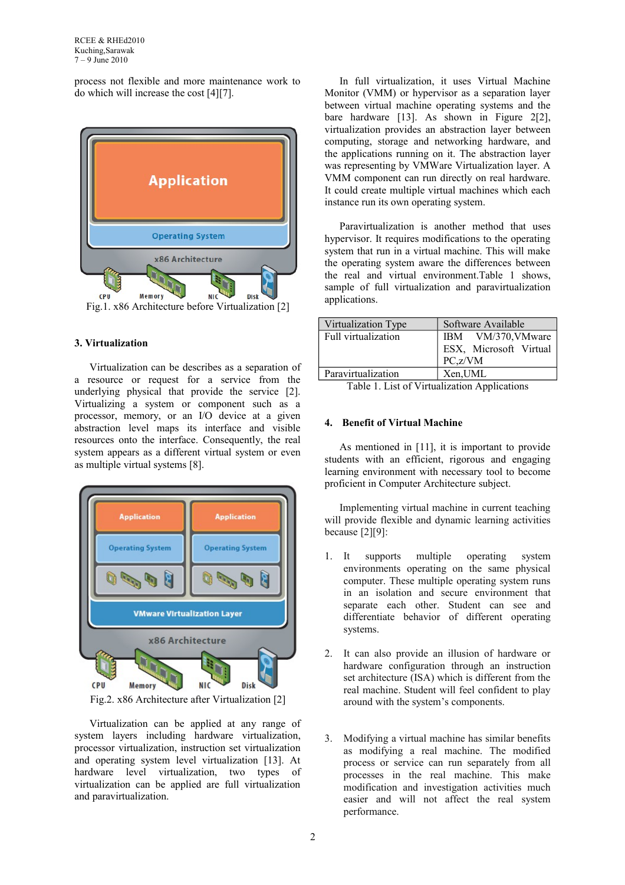process not flexible and more maintenance work to do which will increase the cost [4][7].



Fig.1. x86 Architecture before Virtualization [2]

# **3. Virtualization**

Virtualization can be describes as a separation of a resource or request for a service from the underlying physical that provide the service [2]. Virtualizing a system or component such as a processor, memory, or an I/O device at a given abstraction level maps its interface and visible resources onto the interface. Consequently, the real system appears as a different virtual system or even as multiple virtual systems [8].



Fig.2. x86 Architecture after Virtualization [2]

Virtualization can be applied at any range of system layers including hardware virtualization, processor virtualization, instruction set virtualization and operating system level virtualization [13]. At hardware level virtualization, two types of virtualization can be applied are full virtualization and paravirtualization.

In full virtualization, it uses Virtual Machine Monitor (VMM) or hypervisor as a separation layer between virtual machine operating systems and the bare hardware [13]. As shown in Figure 2[2], virtualization provides an abstraction layer between computing, storage and networking hardware, and the applications running on it. The abstraction layer was representing by VMWare Virtualization layer. A VMM component can run directly on real hardware. It could create multiple virtual machines which each instance run its own operating system.

Paravirtualization is another method that uses hypervisor. It requires modifications to the operating system that run in a virtual machine. This will make the operating system aware the differences between the real and virtual environment.Table 1 shows, sample of full virtualization and paravirtualization applications.

| Virtualization Type | Software Available     |
|---------------------|------------------------|
| Full virtualization | IBM VM/370, VMware     |
|                     | ESX, Microsoft Virtual |
|                     | $PC_z/VM$              |
| Paravirtualization  | Xen,UML                |

Table 1. List of Virtualization Applications

# **4. Benefit of Virtual Machine**

As mentioned in [11], it is important to provide students with an efficient, rigorous and engaging learning environment with necessary tool to become proficient in Computer Architecture subject.

Implementing virtual machine in current teaching will provide flexible and dynamic learning activities because [2][9]:

- 1. It supports multiple operating system environments operating on the same physical computer. These multiple operating system runs in an isolation and secure environment that separate each other. Student can see and differentiate behavior of different operating systems.
- 2. It can also provide an illusion of hardware or hardware configuration through an instruction set architecture (ISA) which is different from the real machine. Student will feel confident to play around with the system's components.
- 3. Modifying a virtual machine has similar benefits as modifying a real machine. The modified process or service can run separately from all processes in the real machine. This make modification and investigation activities much easier and will not affect the real system performance.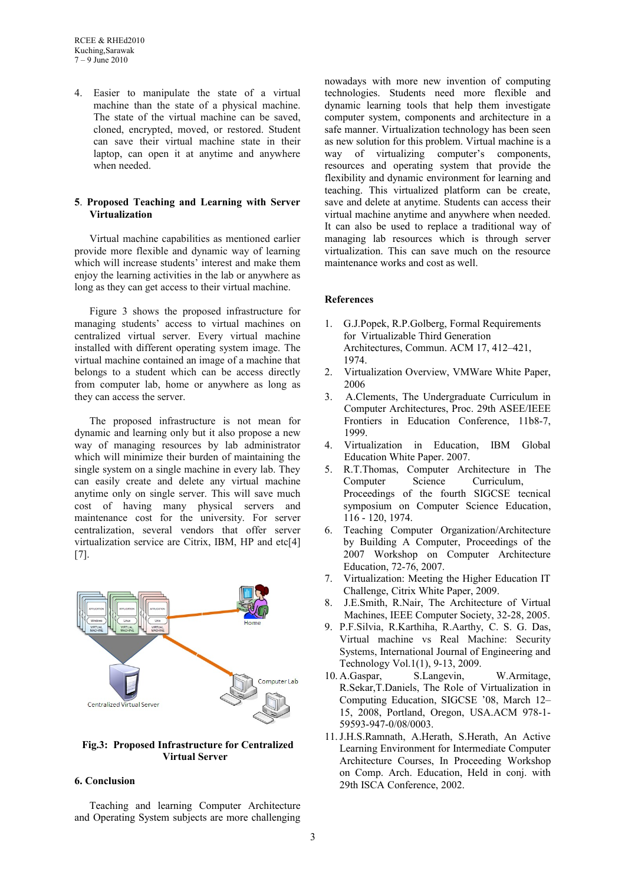4. Easier to manipulate the state of a virtual machine than the state of a physical machine. The state of the virtual machine can be saved, cloned, encrypted, moved, or restored. Student can save their virtual machine state in their laptop, can open it at anytime and anywhere when needed.

# **5**. **Proposed Teaching and Learning with Server Virtualization**

Virtual machine capabilities as mentioned earlier provide more flexible and dynamic way of learning which will increase students<sup>'</sup> interest and make them enjoy the learning activities in the lab or anywhere as long as they can get access to their virtual machine.

Figure 3 shows the proposed infrastructure for managing students' access to virtual machines on centralized virtual server. Every virtual machine installed with different operating system image. The virtual machine contained an image of a machine that belongs to a student which can be access directly from computer lab, home or anywhere as long as they can access the server.

The proposed infrastructure is not mean for dynamic and learning only but it also propose a new way of managing resources by lab administrator which will minimize their burden of maintaining the single system on a single machine in every lab. They can easily create and delete any virtual machine anytime only on single server. This will save much cost of having many physical servers and maintenance cost for the university. For server centralization, several vendors that offer server virtualization service are Citrix, IBM, HP and etc[4] [7].



# **Fig.3: Proposed Infrastructure for Centralized Virtual Server**

### **6. Conclusion**

Teaching and learning Computer Architecture and Operating System subjects are more challenging

nowadays with more new invention of computing technologies. Students need more flexible and dynamic learning tools that help them investigate computer system, components and architecture in a safe manner. Virtualization technology has been seen as new solution for this problem. Virtual machine is a way of virtualizing computer's components, resources and operating system that provide the flexibility and dynamic environment for learning and teaching. This virtualized platform can be create, save and delete at anytime. Students can access their virtual machine anytime and anywhere when needed. It can also be used to replace a traditional way of managing lab resources which is through server virtualization. This can save much on the resource maintenance works and cost as well.

# **References**

- 1. G.J.Popek, R.P.Golberg, Formal Requirements for Virtualizable Third Generation Architectures, Commun. ACM 17, 412–421, 1974.
- 2. Virtualization Overview, VMWare White Paper, 2006
- 3. A.Clements, The Undergraduate Curriculum in Computer Architectures, Proc. 29th ASEE/IEEE Frontiers in Education Conference, 11b8-7, 1999.
- 4. Virtualization in Education, IBM Global Education White Paper. 2007.
- 5. R.T.Thomas, Computer Architecture in The Computer Science Curriculum, Proceedings of the fourth SIGCSE tecnical symposium on Computer Science Education, 116 - 120, 1974.
- 6. Teaching Computer Organization/Architecture by Building A Computer, Proceedings of the 2007 Workshop on Computer Architecture Education, 72-76, 2007.
- 7. Virtualization: Meeting the Higher Education IT Challenge, Citrix White Paper, 2009.
- 8. J.E.Smith, R.Nair, The Architecture of Virtual Machines, IEEE Computer Society, 32-28, 2005.
- 9. P.F.Silvia, R.Karthiha, R.Aarthy, C. S. G. Das, Virtual machine vs Real Machine: Security Systems, International Journal of Engineering and Technology Vol.1(1), 9-13, 2009.
- 10. A.Gaspar, S.Langevin, W.Armitage, R.Sekar,T.Daniels, The Role of Virtualization in Computing Education, SIGCSE '08, March 12– 15, 2008, Portland, Oregon, USA.ACM 978-1- 59593-947-0/08/0003.
- 11.J.H.S.Ramnath, A.Herath, S.Herath, An Active Learning Environment for Intermediate Computer Architecture Courses, In Proceeding Workshop on Comp. Arch. Education, Held in conj. with 29th ISCA Conference, 2002.